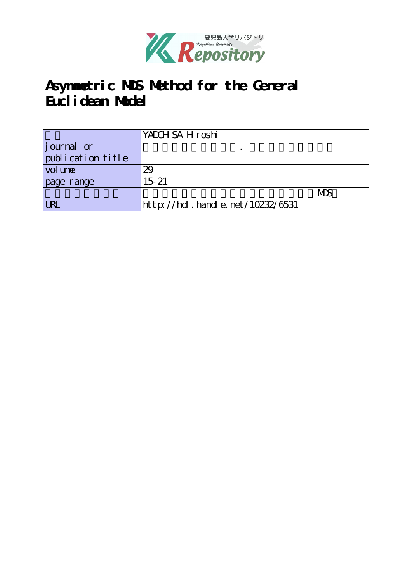

# **Asymmetric MDS Method for the General Euclidean Model**

|                   | YADOH SA H roshi                 |     |
|-------------------|----------------------------------|-----|
| journal or        |                                  |     |
| publication title |                                  |     |
| vol une           | 29                               |     |
| page range        | $15 - 21$                        |     |
|                   |                                  | MDS |
| <b>LRL</b>        | http://hdl.handle.net/10232/6531 |     |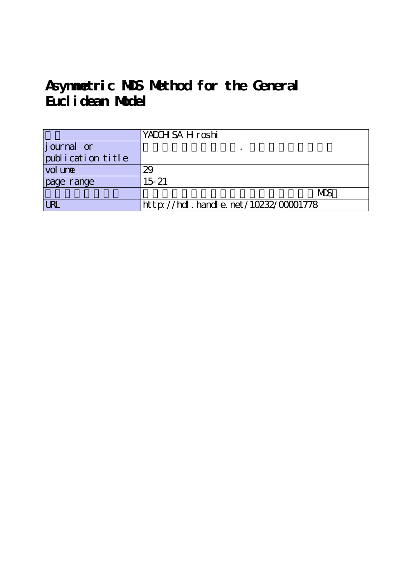# **Asymmetric MDS Method for the General Euclidean Model**

|                   | YADOH SA H roshi                     |
|-------------------|--------------------------------------|
| journal or        |                                      |
| publication title |                                      |
| vol une           | 29                                   |
| page range        | $15 - 21$                            |
|                   | <b>MDS</b>                           |
| <b>LRL</b>        | http://hdl.handle.net/10232/00001778 |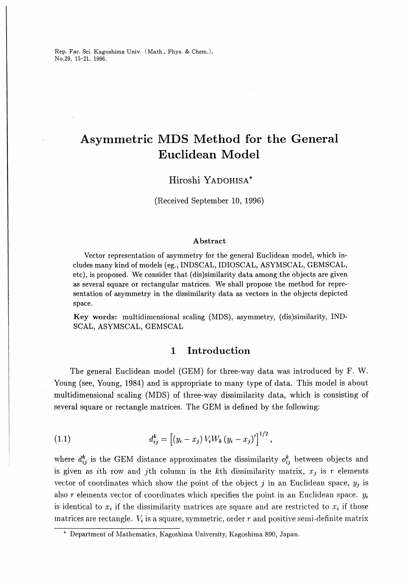Rep. Fac. Sci. Kagoshima Univ. (Math., Phys. & Chem.), No.29, 15-21, 1996.

## Asymmetric MDS Method for the General Euclidean Model

## Hiroshi YADOHISA\*

(Received September 10, 1996)

#### Abstract

Vector representation of asymmetry for the general Euclidean model, which ineludes many kind of models (eg., INDSCAL, IDIOSCAL, ASYMSCAL, GEMSCAL, etc), is proposed. We consider that (dis)similarity data among the objects are given as several square or rectangular matrices. We shall propose the method for representation of asymmetry in the dissimilarity data as vectors in the objects depicted space.

Key words: multidimensional scaling (MDS), asymmetry, (dis)similarity, IND-SCAL, ASYMSCAL, GEMSCAL

## 1 Introduction

The general Euclidean model (GEM) for three-way data was introduced by F. W. Young (see, Young, 1984) and is appropriate to many type of data. This model is about multidimensional scaling (MDS) of three-way dissimilarity data, which is consisting of several square or rectangle matrices. The GEM is defined by the following:

(1.1) 
$$
d_{ij}^k = [(y_i - x_j) V_i W_k (y_i - x_j)']^{1/2},
$$

where  $d_{ij}^k$  is the GEM distance approximates the dissimilarity  $o_{ij}^k$  between objects and is given as *i*th row and *j*th column in the *k*th dissimilarity matrix,  $x_j$  is r elements vector of coordinates which show the point of the object j in an Euclidean space,  $y_j$  is also r elements vector of coordinates which specifies the point in an Euclidean space.  $y_i$ is identical to  $x_i$  if the dissimilarity matrices are square and are restricted to  $x_i$  if those matrices are rectangle.  $V_i$  is a square, symmetric, order r and positive semi-definite matrix

<sup>\*</sup> Department of Mathematics, Kagoshima University, Kagoshima 890, Japan.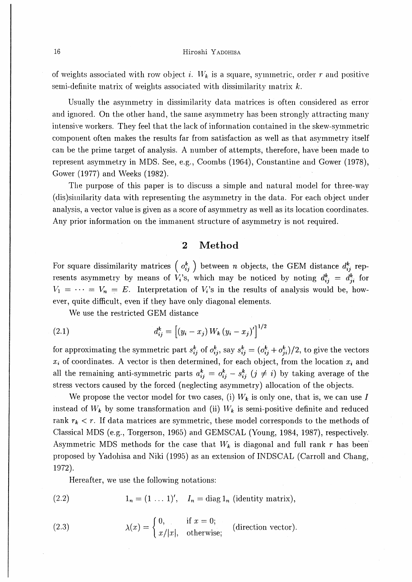## 16 **Hiroshi Yadohisa**

of weights associated with row object i.  $W_k$  is a square, symmetric, order r and positive semi-definite matrix of weights associated with dissimilarity matrix  $k$ .

Usually the asymmetry in dissimilarity data matrices is often considered as error and ignored. On the other hand, the same asymmetry has been strongly attracting many intensive workers. They feel that the lack of information contained in the skew-symmetric component often makes the results far from satisfaction as well as that asymmetry itself can be the prime target of analysis. A number of attempts, therefore, have been made to represent asymmetry in MDS. See, e.g., Coombs (1964), Constantine and Gower (1978), Gower (1977) and Weeks (1982).

The purpose of this paper is to discuss a simple and natural model for three-way (dis)siinilarity data with representing the asymmetry in the data. For each object under analysis, a vector value is given as a score of asymmetry as well as its location coordinates. Any prior information on the immanent structure of asymmetry is not required.

## 2 Method

For square dissimilarity matrices  $\left(\begin{array}{c} o_{ij}^k \end{array}\right)$  between n objects, the GEM distance  $d_{ij}^k$  represents asymmetry by means of  $V_i$ 's, which may be noticed by noting  $d_{ij}^k = d_{ji}^k$  for  $V_1 = \cdots = V_n = E$ . Interpretation of  $V_i$ 's in the results of analysis would be, however, quite difficult, even if they have only diagonal elements.

We use the restricted GEM distance

(2.1) 
$$
d_{ij}^k = [(y_i - x_j) W_k (y_i - x_j)]^{1/2}
$$

for approximating the symmetric part  $s_{ij}^k$  of  $o_{ij}^k$ , say  $s_{ij}^k = (o_{ij}^k + o_{ji}^k)/2$ , to give the vectors  $x_i$  of coordinates. A vector is then determined, for each object, from the location  $x_i$  and all the remaining anti-symmetric parts  $a_{ij}^k = o_{ij}^k - s_{ij}^k$  ( $j \neq i$ ) by taking average of the stress vectors caused by the forced (neglecting asymmetry) allocation of the objects.

We propose the vector model for two cases, (i)  $W_k$  is only one, that is, we can use I instead of  $W_k$  by some transformation and (ii)  $W_k$  is semi-positive definite and reduced rank  $r_k < r$ . If data matrices are symmetric, these model corresponds to the methods of Classical MDS (e.g., Torgerson, 1965) and GEMSCAL (Young, 1984, 1987), respectively. Asymmetric MDS methods for the case that  $W_k$  is diagonal and full rank r has been proposed by Yadohisa and Niki (1995) as an extension of INDSCAL (Carroll and Chang, 1972).

Hereafter, we use the following notations:

(2.2) 
$$
1_n = (1 \dots 1)', \quad I_n = \text{diag } 1_n \text{ (identity matrix)},
$$

(2.3) 
$$
\lambda(x) = \begin{cases} 0, & \text{if } x = 0; \\ x/|x|, & \text{otherwise}; \end{cases}
$$
 (direction vector).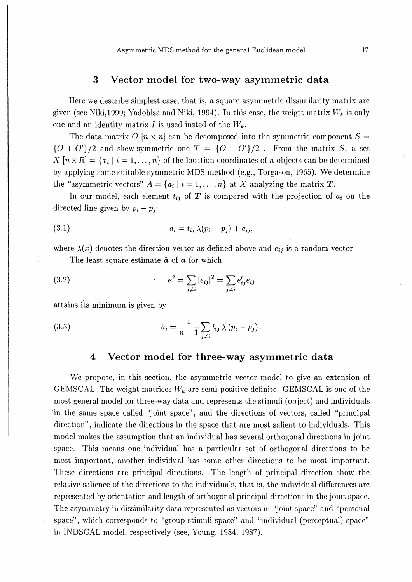## 3 Vector model for two-way asymmetric data

Here we describe simplest case, that is, a square asymmetric dissimilarity matrix are given (see Niki,1990; Yadohisa and Niki, 1994). In this case, the weigtt matrix  $W_k$  is only one and an identity matrix I is used insted of the  $W_k$ .

The data matrix O  $[n \times n]$  can be decomposed into the symmetric component  $S =$  ${O + O<sup>'</sup>}/2$  and skew-symmetric one  $T = {O - O'<sup>'</sup>}/2$ . From the matrix S, a set  $X[n \times R] = \{x_i | i = 1,\ldots,n\}$  of the location coordinates of n objects can be determined by applying some suitable symmetric MDS method (e.g., Torgason, 1965). We determine the "asymmetric vectors"  $A = \{a_i | i = 1, ..., n\}$  at X analyzing the matrix T.

In our model, each element  $t_{ij}$  of  $T$  is compared with the projection of  $a_i$  on the directed line given by  $p_i - p_j$ :

$$
(3.1) \t\t\t a_i = t_{ij} \lambda (p_i - p_j) + e_{ij},
$$

where  $\lambda(x)$  denotes the direction vector as defined above and  $e_{ij}$  is a random vector.

The least square estimate  $\hat{a}$  of  $a$  for which

(3.2) 
$$
e^{2} = \sum_{j \neq i} |e_{ij}|^{2} = \sum_{j \neq i} e'_{ij} e_{ij}
$$

attains its minimum is given by

(3.3) 
$$
\hat{a}_i = \frac{1}{n-1} \sum_{j \neq i} t_{ij} \lambda (p_i - p_j).
$$

## 4 Vector model for three-way asymmetric data

We propose, in this section, the asymmetric vector model to give an extension of GEMSCAL. The weight matrices  $W_k$  are semi-positive definite. GEMSCAL is one of the most general model for three-way data and represents the stimuli (object) and individuals in the same space called "joint space", and the directions of vectors, called "principal" direction", indicate the directions in the space that are most salient to individuals. This model makes the assumption that an individual has several orthogonal directions in joint space. This means one individual has a particular set of orthogonal directions to be most important, another individual has some other directions to be most important. These directions are principal directions. The length of principal direction show the relative salience of the directions to the individuals, that is, the individual differences are represented by orientation and length of orthogonal principal directions in the joint space The asymmetry in dissimilarity data represented as vectors in "joint space" and "personal space", which corresponds to "group stimuli space" and "individual (perceptual) space" in INDSCAL model, respectively (see, Young, 1984, 1987).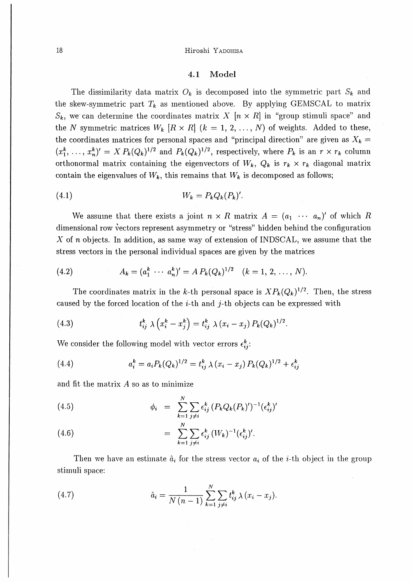### 18 Hiroshi Yadohisa

## 4.1 Model

The dissimilarity data matrix  $O_k$  is decomposed into the symmetric part  $S_k$  and the skew-symmetric part  $T_k$  as mentioned above. By applying GEMSCAL to matrix  $S_k$ , we can determine the coordinates matrix X  $[n \times R]$  in "group stimuli space" and the N symmetric matrices  $W_k$   $[R \times R]$   $(k = 1, 2, ..., N)$  of weights. Added to these, the coordinates matrices for personal spaces and "principal direction" are given as  $X_k =$  $(x_1^k, \ldots, x_n^k)' = X P_k(Q_k)^{1/2}$  and  $P_k(Q_k)^{1/2}$ , respectively, where  $P_k$  is an  $r \times r_k$  column orthonormal matrix containing the eigenvectors of  $W_k$ ,  $Q_k$  is  $r_k \times r_k$  diagonal matrix contain the eigenvalues of  $W_k$ , this remains that  $W_k$  is decomposed as follows;

$$
(4.1) \t\t Wk = Pk Qk (Pk)'
$$

We assume that there exists a joint  $n \times R$  matrix  $A = (a_1 \cdots a_n)'$  of which R dimensional row vectors represent asymmetry or "stress" hidden behind the configuration X of  $n$  objects. In addition, as same way of extension of INDSCAL, we assume that the stress vectors in the personal individual spaces are given by the matrices

(4.2) 
$$
A_k = (a_1^k \cdots a_n^k)' = A P_k (Q_k)^{1/2} \quad (k = 1, 2, \ldots, N).
$$

The coordinates matrix in the k-th personal space is  $XP_k(Q_k)^{1/2}$ . Then, the stress caused by the forced location of the *i*-th and *j*-th objects can be expressed with

(4.3) 
$$
t_{ij}^k \lambda \left( x_i^k - x_j^k \right) = t_{ij}^k \lambda \left( x_i - x_j \right) P_k(Q_k)^{1/2}.
$$

We consider the following model with vector errors  $\epsilon_{ij}^k$ :

(4.4) 
$$
a_i^k = a_i P_k (Q_k)^{1/2} = t_{ij}^k \lambda (x_i - x_j) P_k (Q_k)^{1/2} + \epsilon_{ij}^k
$$

and fit the matrix  $A$  so as to minimize

(4.5)  
\n
$$
\phi_i = \sum_{k=1}^N \sum_{j \neq i} \epsilon_{ij}^k (P_k Q_k (P_k)')^{-1} (\epsilon_{ij}^k)'
$$
\n
$$
= \sum_{k=1}^N \sum_{j \neq i} \epsilon_{ij}^k (W_k)^{-1} (\epsilon_{ij}^k)'
$$

Then we have an estimate  $\hat{a}_i$  for the stress vector  $a_i$  of the i-th object in the group stimuli space:

(4.7) 
$$
\hat{a}_i = \frac{1}{N(n-1)} \sum_{k=1}^N \sum_{j \neq i} t_{ij}^k \lambda (x_i - x_j).
$$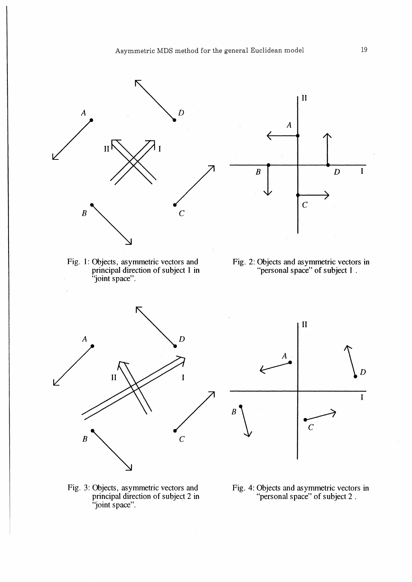

Fig. 1: Objects, asymmetric vectors and principal direction of subject 1 in "joint space".



Fig. 2: Objects and asymmetric vectors in "personal space" of subject 1.







Fig. 4: Objects and asymmetric vectors in "personal space" of subject 2.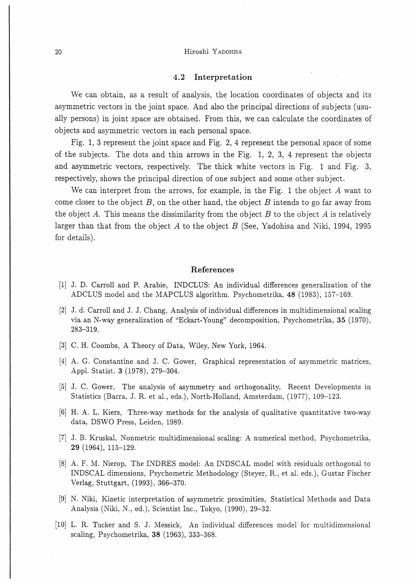#### 20 Hiroshi Yadohisa

#### 4.2 Interpretation

We can obtain, as a result of analysis, the location coordinates of objects and its asymmetric vectors in the joint space. And also the principal directions of subjects (usually persons) in joint space are obtained. From this, we can calculate the coordinates of objects and asymmetric vectors in each personal space.

Fig. 1, 3 represent the joint space and Fig. 2, 4 represent the personal space of some of the subjects. The dots and thin arrows in the Fig. 1, 2, 3, 4 represent the objects and asymmetric vectors, respectively. The thick white vectors in Fig. 1 and Fig. 3, respectively, shows the principal direction of one subject and some other subject

We can interpret from the arrows, for example, in the Fig. 1 the object A want to come closer to the object  $B$ , on the other hand, the object  $B$  intends to go far away from the object A. This means the dissimilarity from the object  $B$  to the object A is relatively larger than that from the object A to the object B (See, Yadohisa and Niki, 1994, 1995 for details).

#### References

- [1] J. D. Carroll and P. Arabie, INDCLUS: An individual differences generalization of the ADCLUS model and the MAPCLUS algorithm. Psychometrika, 48 (1983), 157-169.
- [2] J. d. Carroll and J. J. Chang, Analysis of individual differences in multidimensional scaling via an N-way generalization of "Eckart-Young" decomposition, Psychometrika, 35 (1970). 283-319.
- [3] C. H. Coombs, A Theory of Data, Wiley, New York, 1964.
- [4] A. G. Constantine and J. C. Gower, Graphical representation of asymmetric matrices, Appl. Statist. 3 (1978), 279-304.
- [51 J. C. Gower, The analysis of asymmetry and orthogonality, Recent Developments in Statistics (Barra, J. R. et al., eds.), North-Holland, Amsterdam, (1977), 109-123.
- [6] H. A. L. Kiers, Three-way methods for the analysis of qualitative quantitative two-way data, DSWO Press, Leiden, 1989.
- [7] J. B. Kruskal, Nonmetric multidimensional scaling: A numerical method, Psychometrika7 29 (1964), 115-129.
- [8] A. F. M. Nierop, The INDRES model: An INDSCAL model with residuals orthogonal to INDSCAL dimensions, Psychometric Methodology (Steyer, R., et al. eds.), Gustar Fischer Verlag, Stuttgart, (1993), 366-370.
- [9] N. Niki, Kinetic interpretation of asymmetric proximities, Statistical Methods and Data Analysis (Niki, N., ed.), Scientist Inc., Tokyo, (1990), 29-32.
- [10] L. R. Tucker and S. J. Messick, An individual differences model for multidimensional scaling, Psychometrika, 38 (1963), 333-368.